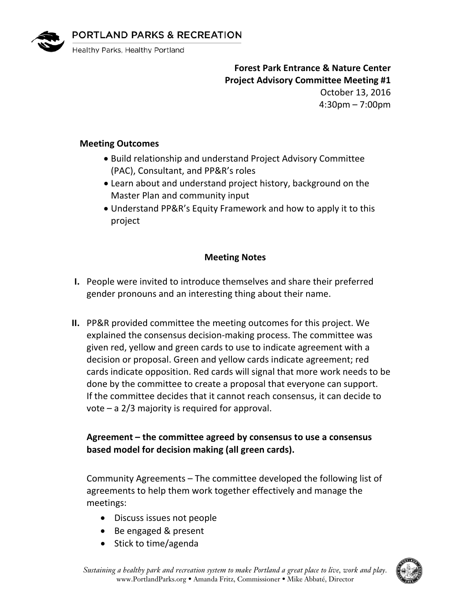



Healthy Parks, Healthy Portland

**Forest Park Entrance & Nature Center Project Advisory Committee Meeting #1**

October 13, 2016 4:30pm – 7:00pm

## **Meeting Outcomes**

- Build relationship and understand Project Advisory Committee (PAC), Consultant, and PP&R's roles
- Learn about and understand project history, background on the Master Plan and community input
- Understand PP&R's Equity Framework and how to apply it to this project

# **Meeting Notes**

- **I.** People were invited to introduce themselves and share their preferred gender pronouns and an interesting thing about their name.
- **II.** PP&R provided committee the meeting outcomes for this project. We explained the consensus decision-making process. The committee was given red, yellow and green cards to use to indicate agreement with a decision or proposal. Green and yellow cards indicate agreement; red cards indicate opposition. Red cards will signal that more work needs to be done by the committee to create a proposal that everyone can support. If the committee decides that it cannot reach consensus, it can decide to vote – a 2/3 majority is required for approval.

# **Agreement – the committee agreed by consensus to use a consensus based model for decision making (all green cards).**

Community Agreements – The committee developed the following list of agreements to help them work together effectively and manage the meetings:

- Discuss issues not people
- Be engaged & present
- Stick to time/agenda

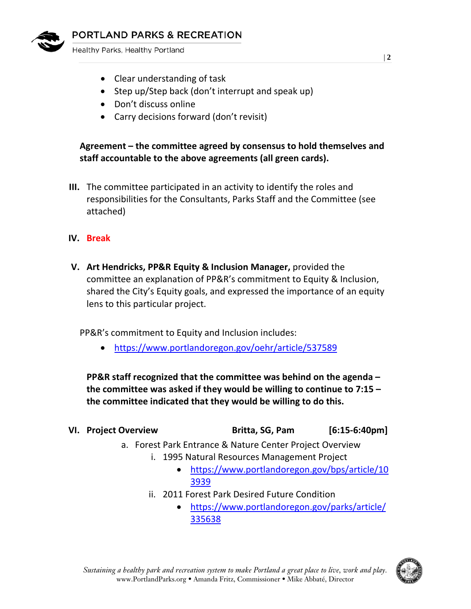

Healthy Parks, Healthy Portland

- Clear understanding of task
- Step up/Step back (don't interrupt and speak up)
- Don't discuss online
- Carry decisions forward (don't revisit)

# **Agreement – the committee agreed by consensus to hold themselves and staff accountable to the above agreements (all green cards).**

- **III.** The committee participated in an activity to identify the roles and responsibilities for the Consultants, Parks Staff and the Committee (see attached)
- **IV. Break**
- **V. Art Hendricks, PP&R Equity & Inclusion Manager,** provided the committee an explanation of PP&R's commitment to Equity & Inclusion, shared the City's Equity goals, and expressed the importance of an equity lens to this particular project.

PP&R's commitment to Equity and Inclusion includes:

• <https://www.portlandoregon.gov/oehr/article/537589>

**PP&R staff recognized that the committee was behind on the agenda – the committee was asked if they would be willing to continue to 7:15 – the committee indicated that they would be willing to do this.** 

#### **VI. Project Overview Britta, SG, Pam [6:15-6:40pm]**

- a. Forest Park Entrance & Nature Center Project Overview
	- i. 1995 Natural Resources Management Project
		- [https://www.portlandoregon.gov/bps/article/10](https://www.portlandoregon.gov/bps/article/103939) [3939](https://www.portlandoregon.gov/bps/article/103939)
	- ii. 2011 Forest Park Desired Future Condition
		- [https://www.portlandoregon.gov/parks/article/](https://www.portlandoregon.gov/parks/article/335638) [335638](https://www.portlandoregon.gov/parks/article/335638)

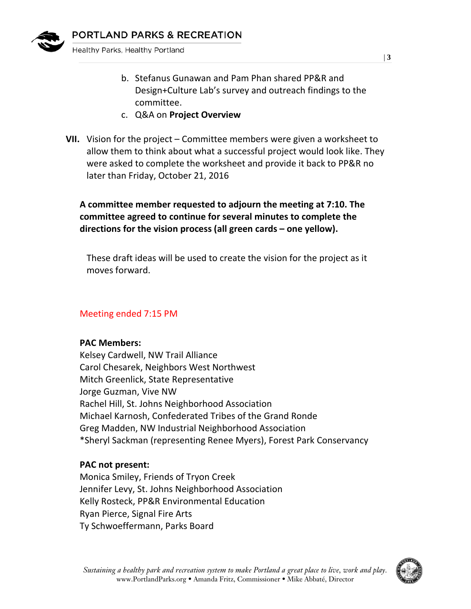

Healthy Parks, Healthy Portland

- b. Stefanus Gunawan and Pam Phan shared PP&R and Design+Culture Lab's survey and outreach findings to the committee.
- c. Q&A on **Project Overview**
- **VII.** Vision for the project Committee members were given a worksheet to allow them to think about what a successful project would look like. They were asked to complete the worksheet and provide it back to PP&R no later than Friday, October 21, 2016

# **A committee member requested to adjourn the meeting at 7:10. The committee agreed to continue for several minutes to complete the directions for the vision process (all green cards – one yellow).**

These draft ideas will be used to create the vision for the project as it moves forward.

### Meeting ended 7:15 PM

#### **PAC Members:**

Kelsey Cardwell, NW Trail Alliance Carol Chesarek, Neighbors West Northwest Mitch Greenlick, State Representative Jorge Guzman, Vive NW Rachel Hill, St. Johns Neighborhood Association Michael Karnosh, Confederated Tribes of the Grand Ronde Greg Madden, NW Industrial Neighborhood Association \*Sheryl Sackman (representing Renee Myers), Forest Park Conservancy

### **PAC not present:**

Monica Smiley, Friends of Tryon Creek Jennifer Levy, St. Johns Neighborhood Association Kelly Rosteck, PP&R Environmental Education Ryan Pierce, Signal Fire Arts Ty Schwoeffermann, Parks Board